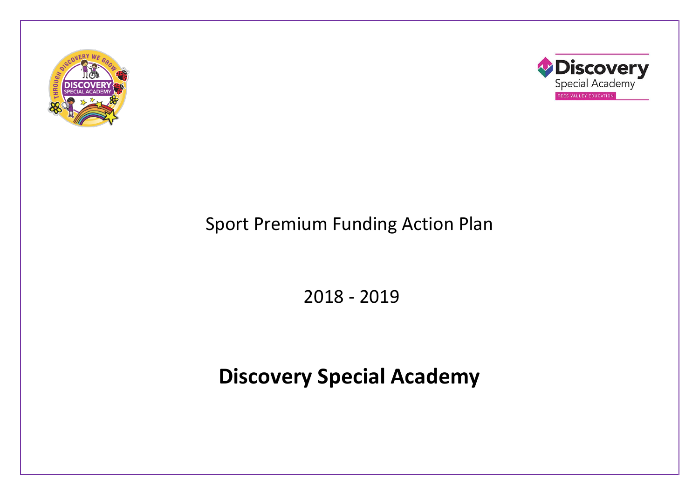



## Sport Premium Funding Action Plan

2018 - 2019

# **Discovery Special Academy**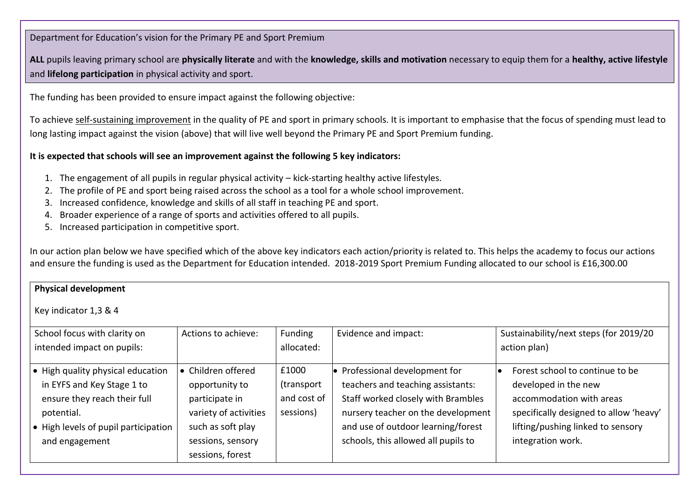Department for Education's vision for the Primary PE and Sport Premium

**ALL** pupils leaving primary school are **physically literate** and with the **knowledge, skills and motivation** necessary to equip them for a **healthy, active lifestyle** and **lifelong participation** in physical activity and sport.

The funding has been provided to ensure impact against the following objective:

To achieve self-sustaining improvement in the quality of PE and sport in primary schools. It is important to emphasise that the focus of spending must lead to long lasting impact against the vision (above) that will live well beyond the Primary PE and Sport Premium funding.

#### **It is expected that schools will see an improvement against the following 5 key indicators:**

- 1. The engagement of all pupils in regular physical activity kick-starting healthy active lifestyles.
- 2. The profile of PE and sport being raised across the school as a tool for a whole school improvement.
- 3. Increased confidence, knowledge and skills of all staff in teaching PE and sport.
- 4. Broader experience of a range of sports and activities offered to all pupils.
- 5. Increased participation in competitive sport.

In our action plan below we have specified which of the above key indicators each action/priority is related to. This helps the academy to focus our actions and ensure the funding is used as the Department for Education intended. 2018-2019 Sport Premium Funding allocated to our school is £16,300.00

| <b>Physical development</b>                                                                                                                                             |                                                                                                                                               |                                                 |                                                                                                                                                                                                                              |                                                                                                                                                                                         |
|-------------------------------------------------------------------------------------------------------------------------------------------------------------------------|-----------------------------------------------------------------------------------------------------------------------------------------------|-------------------------------------------------|------------------------------------------------------------------------------------------------------------------------------------------------------------------------------------------------------------------------------|-----------------------------------------------------------------------------------------------------------------------------------------------------------------------------------------|
| Key indicator 1,3 & 4                                                                                                                                                   |                                                                                                                                               |                                                 |                                                                                                                                                                                                                              |                                                                                                                                                                                         |
| School focus with clarity on<br>intended impact on pupils:                                                                                                              | Actions to achieve:                                                                                                                           | Funding<br>allocated:                           | Evidence and impact:                                                                                                                                                                                                         | Sustainability/next steps (for 2019/20<br>action plan)                                                                                                                                  |
| • High quality physical education<br>in EYFS and Key Stage 1 to<br>ensure they reach their full<br>potential.<br>• High levels of pupil participation<br>and engagement | • Children offered<br>opportunity to<br>participate in<br>variety of activities<br>such as soft play<br>sessions, sensory<br>sessions, forest | £1000<br>(transport<br>and cost of<br>sessions) | • Professional development for<br>teachers and teaching assistants:<br>Staff worked closely with Brambles<br>nursery teacher on the development<br>and use of outdoor learning/forest<br>schools, this allowed all pupils to | Forest school to continue to be<br>developed in the new<br>accommodation with areas<br>specifically designed to allow 'heavy'<br>lifting/pushing linked to sensory<br>integration work. |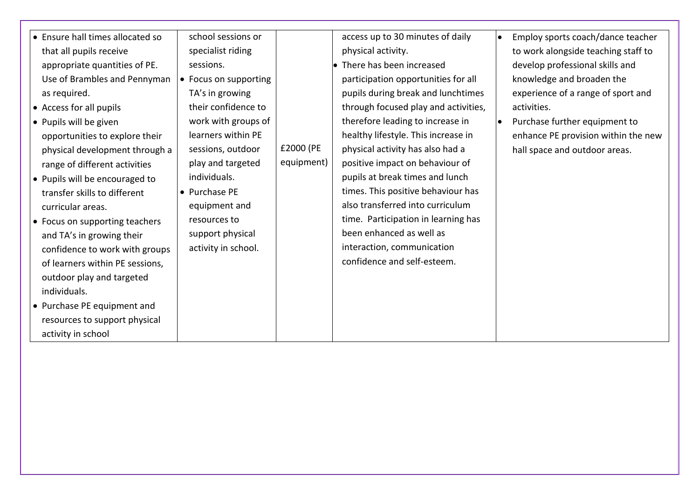| • Ensure hall times allocated so | school sessions or    |            | access up to 30 minutes of daily     | Employ sports coach/dance teacher<br>$\bullet$ |
|----------------------------------|-----------------------|------------|--------------------------------------|------------------------------------------------|
| that all pupils receive          | specialist riding     |            | physical activity.                   | to work alongside teaching staff to            |
| appropriate quantities of PE.    | sessions.             |            | $\bullet$ There has been increased   | develop professional skills and                |
| Use of Brambles and Pennyman     | • Focus on supporting |            | participation opportunities for all  | knowledge and broaden the                      |
| as required.                     | TA's in growing       |            | pupils during break and lunchtimes   | experience of a range of sport and             |
| • Access for all pupils          | their confidence to   |            | through focused play and activities, | activities.                                    |
| • Pupils will be given           | work with groups of   |            | therefore leading to increase in     | Purchase further equipment to                  |
| opportunities to explore their   | learners within PE    |            | healthy lifestyle. This increase in  | enhance PE provision within the new            |
| physical development through a   | sessions, outdoor     | £2000 (PE  | physical activity has also had a     | hall space and outdoor areas.                  |
| range of different activities    | play and targeted     | equipment) | positive impact on behaviour of      |                                                |
| • Pupils will be encouraged to   | individuals.          |            | pupils at break times and lunch      |                                                |
| transfer skills to different     | • Purchase PE         |            | times. This positive behaviour has   |                                                |
| curricular areas.                | equipment and         |            | also transferred into curriculum     |                                                |
| • Focus on supporting teachers   | resources to          |            | time. Participation in learning has  |                                                |
| and TA's in growing their        | support physical      |            | been enhanced as well as             |                                                |
| confidence to work with groups   | activity in school.   |            | interaction, communication           |                                                |
| of learners within PE sessions,  |                       |            | confidence and self-esteem.          |                                                |
| outdoor play and targeted        |                       |            |                                      |                                                |
| individuals.                     |                       |            |                                      |                                                |
| • Purchase PE equipment and      |                       |            |                                      |                                                |
| resources to support physical    |                       |            |                                      |                                                |
| activity in school               |                       |            |                                      |                                                |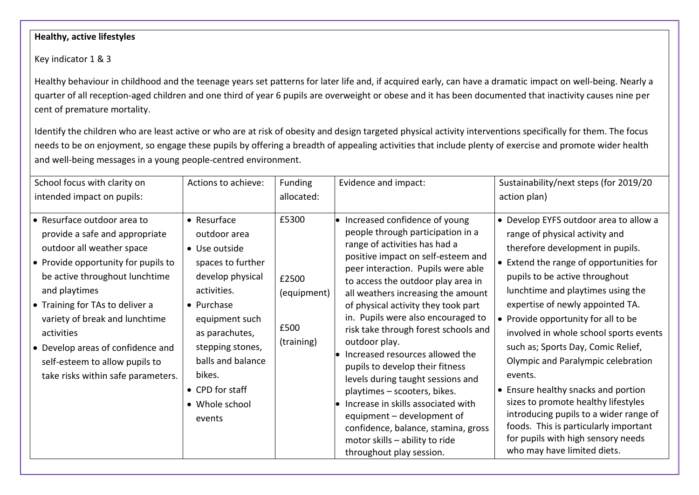#### **Healthy, active lifestyles**

Key indicator 1 & 3

Healthy behaviour in childhood and the teenage years set patterns for later life and, if acquired early, can have a dramatic impact on well-being. Nearly a quarter of all reception-aged children and one third of year 6 pupils are overweight or obese and it has been documented that inactivity causes nine per cent of premature mortality.

Identify the children who are least active or who are at risk of obesity and design targeted physical activity interventions specifically for them. The focus needs to be on enjoyment, so engage these pupils by offering a breadth of appealing activities that include plenty of exercise and promote wider health and well-being messages in a young people-centred environment.

| School focus with clarity on                                                                                                                                                                                                                                                                                                                                                                 | Actions to achieve:                                                                                                                                                                                                                                              | Funding                                             | Evidence and impact:                                                                                                                                                                                                                                                                                                                                                                                                                                                                                                                                                                                                                                                                                                                      | Sustainability/next steps (for 2019/20                                                                                                                                                                                                                                                                                                                                                                                                                                                                                                                                                                                                                                           |
|----------------------------------------------------------------------------------------------------------------------------------------------------------------------------------------------------------------------------------------------------------------------------------------------------------------------------------------------------------------------------------------------|------------------------------------------------------------------------------------------------------------------------------------------------------------------------------------------------------------------------------------------------------------------|-----------------------------------------------------|-------------------------------------------------------------------------------------------------------------------------------------------------------------------------------------------------------------------------------------------------------------------------------------------------------------------------------------------------------------------------------------------------------------------------------------------------------------------------------------------------------------------------------------------------------------------------------------------------------------------------------------------------------------------------------------------------------------------------------------------|----------------------------------------------------------------------------------------------------------------------------------------------------------------------------------------------------------------------------------------------------------------------------------------------------------------------------------------------------------------------------------------------------------------------------------------------------------------------------------------------------------------------------------------------------------------------------------------------------------------------------------------------------------------------------------|
| intended impact on pupils:                                                                                                                                                                                                                                                                                                                                                                   |                                                                                                                                                                                                                                                                  | allocated:                                          |                                                                                                                                                                                                                                                                                                                                                                                                                                                                                                                                                                                                                                                                                                                                           | action plan)                                                                                                                                                                                                                                                                                                                                                                                                                                                                                                                                                                                                                                                                     |
| • Resurface outdoor area to<br>provide a safe and appropriate<br>outdoor all weather space<br>$\bullet$ Provide opportunity for pupils to<br>be active throughout lunchtime<br>and playtimes<br>• Training for TAs to deliver a<br>variety of break and lunchtime<br>activities<br>• Develop areas of confidence and<br>self-esteem to allow pupils to<br>take risks within safe parameters. | $\bullet$ Resurface<br>outdoor area<br>• Use outside<br>spaces to further<br>develop physical<br>activities.<br>• Purchase<br>equipment such<br>as parachutes,<br>stepping stones,<br>balls and balance<br>bikes.<br>• CPD for staff<br>• Whole school<br>events | £5300<br>£2500<br>(equipment)<br>£500<br>(training) | $\bullet$ Increased confidence of young<br>people through participation in a<br>range of activities has had a<br>positive impact on self-esteem and<br>peer interaction. Pupils were able<br>to access the outdoor play area in<br>all weathers increasing the amount<br>of physical activity they took part<br>in. Pupils were also encouraged to<br>risk take through forest schools and<br>outdoor play.<br>Increased resources allowed the<br>pupils to develop their fitness<br>levels during taught sessions and<br>playtimes - scooters, bikes.<br>$\bullet$ Increase in skills associated with<br>equipment - development of<br>confidence, balance, stamina, gross<br>motor skills - ability to ride<br>throughout play session. | • Develop EYFS outdoor area to allow a<br>range of physical activity and<br>therefore development in pupils.<br>• Extend the range of opportunities for<br>pupils to be active throughout<br>lunchtime and playtimes using the<br>expertise of newly appointed TA.<br>• Provide opportunity for all to be<br>involved in whole school sports events<br>such as; Sports Day, Comic Relief,<br>Olympic and Paralympic celebration<br>events.<br>• Ensure healthy snacks and portion<br>sizes to promote healthy lifestyles<br>introducing pupils to a wider range of<br>foods. This is particularly important<br>for pupils with high sensory needs<br>who may have limited diets. |